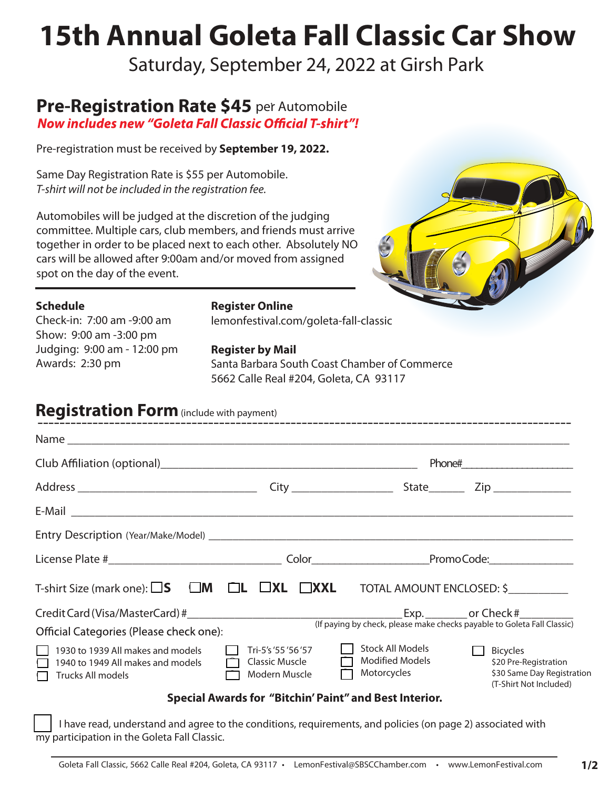# **15th Annual Goleta Fall Classic Car Show**

Saturday, September 24, 2022 at Girsh Park

## **Pre-Registration Rate \$45** per Automobile<br>**Now includes new "Goleta Fall Classic Official T-shirt"!**

Pre-registration must be received by **September 19, 2022.** 

Same Day Registration Rate is \$55 per Automobile. *T-shirt will not be included in the registration fee.*

Automobiles will be judged at the discretion of the judging committee. Multiple cars, club members, and friends must arrive together in order to be placed next to each other. Absolutely NO cars will be allowed after 9:00am and/or moved from assigned spot on the day of the event.



#### **Schedule**

Check-in: 7:00 am -9:00 am Show: 9:00 am -3:00 pm Judging: 9:00 am - 12:00 pm Awards: 2:30 pm

#### **Register Online**

lemonfestival.com/goleta-fall-classic

#### **Register by Mail**

Santa Barbara South Coast Chamber of Commerce 5662 Calle Real #204, Goleta, CA 93117

### **Registration Form** (include with payment)

| <b>INCREASE AND IN A STATE (INCLUDE WITH PAYMENT)</b>                                                                      |                                                               |                                                                  |                                                                                                  |
|----------------------------------------------------------------------------------------------------------------------------|---------------------------------------------------------------|------------------------------------------------------------------|--------------------------------------------------------------------------------------------------|
|                                                                                                                            |                                                               |                                                                  |                                                                                                  |
|                                                                                                                            |                                                               |                                                                  |                                                                                                  |
|                                                                                                                            |                                                               |                                                                  |                                                                                                  |
|                                                                                                                            |                                                               |                                                                  |                                                                                                  |
|                                                                                                                            |                                                               |                                                                  |                                                                                                  |
|                                                                                                                            |                                                               |                                                                  |                                                                                                  |
| T-shirt Size (mark one): $\square$ <b>S</b> $\square$ <b>M</b> $\square$ <b>L</b> $\square$ <b>XL</b> $\square$ <b>XXL</b> |                                                               |                                                                  | TOTAL AMOUNT ENCLOSED: \$                                                                        |
| Credit Card (Visa/MasterCard) #<br>(If paying by check, please make checks payable to Goleta Fall Classic)                 |                                                               |                                                                  |                                                                                                  |
| Official Categories (Please check one):                                                                                    |                                                               |                                                                  |                                                                                                  |
| 1930 to 1939 All makes and models<br>1940 to 1949 All makes and models<br>Trucks All models                                | Tri-5's '55 '56 '57<br>Classic Muscle<br>Modern Muscle        | <b>Stock All Models</b><br><b>Modified Models</b><br>Motorcycles | <b>Bicycles</b><br>\$20 Pre-Registration<br>\$30 Same Day Registration<br>(T-Shirt Not Included) |
|                                                                                                                            | <b>Special Awards for "Bitchin' Paint" and Best Interior.</b> |                                                                  |                                                                                                  |

 I have read, understand and agree to the conditions, requirements, and policies (on page 2) associated with my participation in the Goleta Fall Classic.